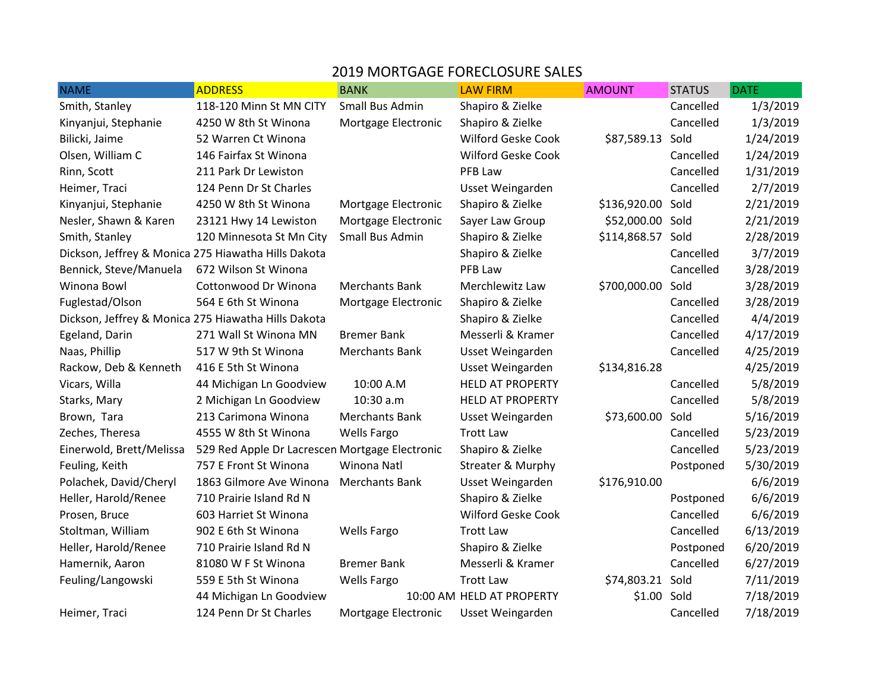## 2019 MORTGAGE FORECLOSURE SALES

| <b>NAME</b>              | <b>ADDRESS</b>                                      | <b>BANK</b>           | <b>LAW FIRM</b>           | <b>AMOUNT</b>    | <b>STATUS</b> | <b>DATE</b> |
|--------------------------|-----------------------------------------------------|-----------------------|---------------------------|------------------|---------------|-------------|
| Smith, Stanley           | 118-120 Minn St MN CITY                             | Small Bus Admin       | Shapiro & Zielke          |                  | Cancelled     | 1/3/2019    |
| Kinyanjui, Stephanie     | 4250 W 8th St Winona                                | Mortgage Electronic   | Shapiro & Zielke          |                  | Cancelled     | 1/3/2019    |
| Bilicki, Jaime           | 52 Warren Ct Winona                                 |                       | Wilford Geske Cook        | \$87,589.13      | Sold          | 1/24/2019   |
| Olsen, William C         | 146 Fairfax St Winona                               |                       | Wilford Geske Cook        |                  | Cancelled     | 1/24/2019   |
| Rinn, Scott              | 211 Park Dr Lewiston                                |                       | PFB Law                   |                  | Cancelled     | 1/31/2019   |
| Heimer, Traci            | 124 Penn Dr St Charles                              |                       | Usset Weingarden          |                  | Cancelled     | 2/7/2019    |
| Kinyanjui, Stephanie     | 4250 W 8th St Winona                                | Mortgage Electronic   | Shapiro & Zielke          | \$136,920.00     | Sold          | 2/21/2019   |
| Nesler, Shawn & Karen    | 23121 Hwy 14 Lewiston                               | Mortgage Electronic   | Sayer Law Group           | \$52,000.00 Sold |               | 2/21/2019   |
| Smith, Stanley           | 120 Minnesota St Mn City                            | Small Bus Admin       | Shapiro & Zielke          | \$114,868.57     | Sold          | 2/28/2019   |
|                          | Dickson, Jeffrey & Monica 275 Hiawatha Hills Dakota |                       | Shapiro & Zielke          |                  | Cancelled     | 3/7/2019    |
| Bennick, Steve/Manuela   | 672 Wilson St Winona                                |                       | PFB Law                   |                  | Cancelled     | 3/28/2019   |
| Winona Bowl              | Cottonwood Dr Winona                                | <b>Merchants Bank</b> | Merchlewitz Law           | \$700,000.00     | Sold          | 3/28/2019   |
| Fuglestad/Olson          | 564 E 6th St Winona                                 | Mortgage Electronic   | Shapiro & Zielke          |                  | Cancelled     | 3/28/2019   |
|                          | Dickson, Jeffrey & Monica 275 Hiawatha Hills Dakota |                       | Shapiro & Zielke          |                  | Cancelled     | 4/4/2019    |
| Egeland, Darin           | 271 Wall St Winona MN                               | <b>Bremer Bank</b>    | Messerli & Kramer         |                  | Cancelled     | 4/17/2019   |
| Naas, Phillip            | 517 W 9th St Winona                                 | <b>Merchants Bank</b> | Usset Weingarden          |                  | Cancelled     | 4/25/2019   |
| Rackow, Deb & Kenneth    | 416 E 5th St Winona                                 |                       | Usset Weingarden          | \$134,816.28     |               | 4/25/2019   |
| Vicars, Willa            | 44 Michigan Ln Goodview                             | 10:00 A.M             | <b>HELD AT PROPERTY</b>   |                  | Cancelled     | 5/8/2019    |
| Starks, Mary             | 2 Michigan Ln Goodview                              | 10:30 a.m             | <b>HELD AT PROPERTY</b>   |                  | Cancelled     | 5/8/2019    |
| Brown, Tara              | 213 Carimona Winona                                 | <b>Merchants Bank</b> | Usset Weingarden          | \$73,600.00      | Sold          | 5/16/2019   |
| Zeches, Theresa          | 4555 W 8th St Winona                                | Wells Fargo           | <b>Trott Law</b>          |                  | Cancelled     | 5/23/2019   |
| Einerwold, Brett/Melissa | 529 Red Apple Dr Lacrescen Mortgage Electronic      |                       | Shapiro & Zielke          |                  | Cancelled     | 5/23/2019   |
| Feuling, Keith           | 757 E Front St Winona                               | Winona Natl           | Streater & Murphy         |                  | Postponed     | 5/30/2019   |
| Polachek, David/Cheryl   | 1863 Gilmore Ave Winona                             | <b>Merchants Bank</b> | Usset Weingarden          | \$176,910.00     |               | 6/6/2019    |
| Heller, Harold/Renee     | 710 Prairie Island Rd N                             |                       | Shapiro & Zielke          |                  | Postponed     | 6/6/2019    |
| Prosen, Bruce            | 603 Harriet St Winona                               |                       | Wilford Geske Cook        |                  | Cancelled     | 6/6/2019    |
| Stoltman, William        | 902 E 6th St Winona                                 | <b>Wells Fargo</b>    | <b>Trott Law</b>          |                  | Cancelled     | 6/13/2019   |
| Heller, Harold/Renee     | 710 Prairie Island Rd N                             |                       | Shapiro & Zielke          |                  | Postponed     | 6/20/2019   |
| Hamernik, Aaron          | 81080 W F St Winona                                 | <b>Bremer Bank</b>    | Messerli & Kramer         |                  | Cancelled     | 6/27/2019   |
| Feuling/Langowski        | 559 E 5th St Winona                                 | <b>Wells Fargo</b>    | <b>Trott Law</b>          | \$74,803.21 Sold |               | 7/11/2019   |
|                          | 44 Michigan Ln Goodview                             |                       | 10:00 AM HELD AT PROPERTY | \$1.00           | Sold          | 7/18/2019   |
| Heimer, Traci            | 124 Penn Dr St Charles                              | Mortgage Electronic   | Usset Weingarden          |                  | Cancelled     | 7/18/2019   |